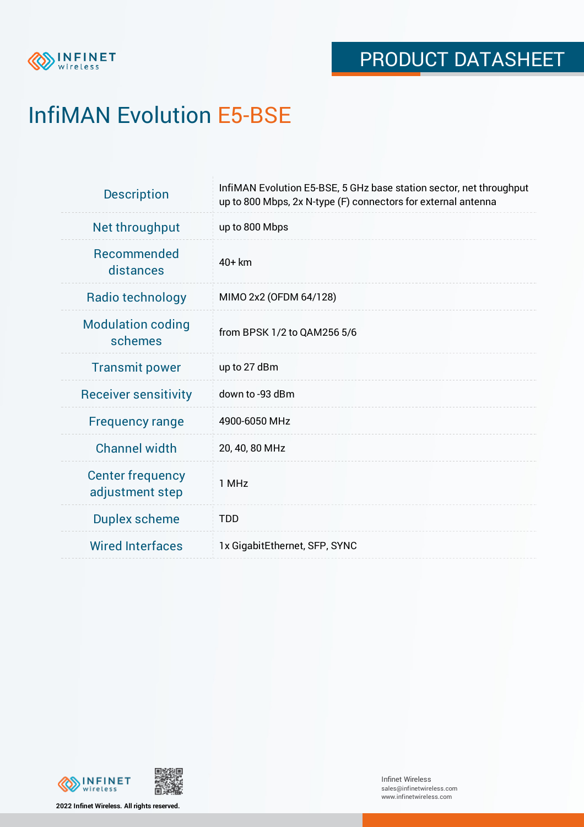

# InfiMAN Evolution E5-BSE

| <b>Description</b>                         | InfiMAN Evolution E5-BSE, 5 GHz base station sector, net throughput<br>up to 800 Mbps, 2x N-type (F) connectors for external antenna |
|--------------------------------------------|--------------------------------------------------------------------------------------------------------------------------------------|
| Net throughput                             | up to 800 Mbps                                                                                                                       |
| <b>Recommended</b><br>distances            | $40+km$                                                                                                                              |
| Radio technology                           | MIMO 2x2 (OFDM 64/128)                                                                                                               |
| <b>Modulation coding</b><br>schemes        | from BPSK 1/2 to QAM256 5/6                                                                                                          |
| <b>Transmit power</b>                      | up to 27 dBm                                                                                                                         |
| <b>Receiver sensitivity</b>                | down to -93 dBm                                                                                                                      |
| <b>Frequency range</b>                     | 4900-6050 MHz                                                                                                                        |
| <b>Channel width</b>                       | 20, 40, 80 MHz                                                                                                                       |
| <b>Center frequency</b><br>adjustment step | 1 MHz                                                                                                                                |
| <b>Duplex scheme</b>                       | <b>TDD</b>                                                                                                                           |
| <b>Wired Interfaces</b>                    | 1x GigabitEthernet, SFP, SYNC                                                                                                        |



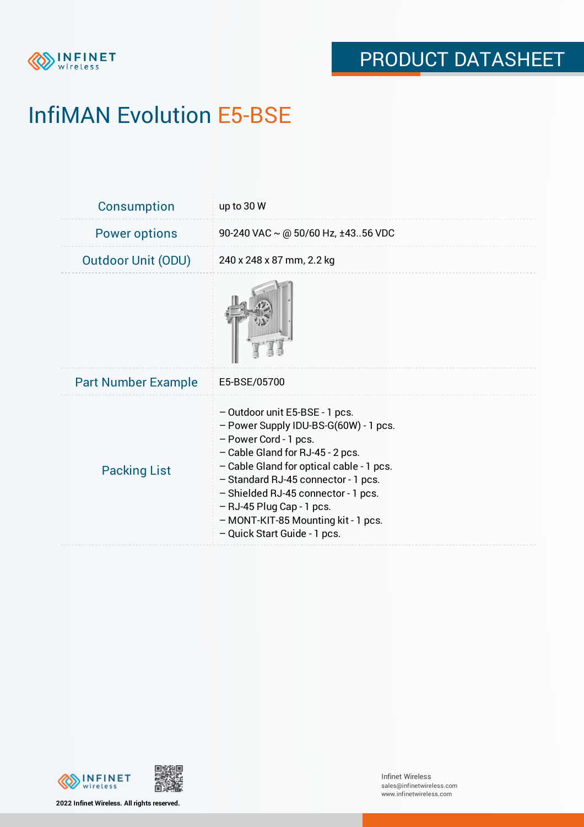

# InfiMAN Evolution E5-BSE

| Consumption                | up to 30 W                                                                                                                                                                                                                                                                                                                                                           |
|----------------------------|----------------------------------------------------------------------------------------------------------------------------------------------------------------------------------------------------------------------------------------------------------------------------------------------------------------------------------------------------------------------|
| <b>Power options</b>       | 90-240 VAC $\sim$ @ 50/60 Hz, ±4356 VDC                                                                                                                                                                                                                                                                                                                              |
| <b>Outdoor Unit (ODU)</b>  | 240 x 248 x 87 mm, 2.2 kg                                                                                                                                                                                                                                                                                                                                            |
|                            |                                                                                                                                                                                                                                                                                                                                                                      |
| <b>Part Number Example</b> | E5-BSE/05700                                                                                                                                                                                                                                                                                                                                                         |
| <b>Packing List</b>        | - Outdoor unit E5-BSE - 1 pcs.<br>- Power Supply IDU-BS-G(60W) - 1 pcs.<br>- Power Cord - 1 pcs.<br>- Cable Gland for RJ-45 - 2 pcs.<br>- Cable Gland for optical cable - 1 pcs.<br>- Standard RJ-45 connector - 1 pcs.<br>- Shielded RJ-45 connector - 1 pcs.<br>$-$ RJ-45 Plug Cap - 1 pcs.<br>- MONT-KIT-85 Mounting kit - 1 pcs.<br>- Quick Start Guide - 1 pcs. |



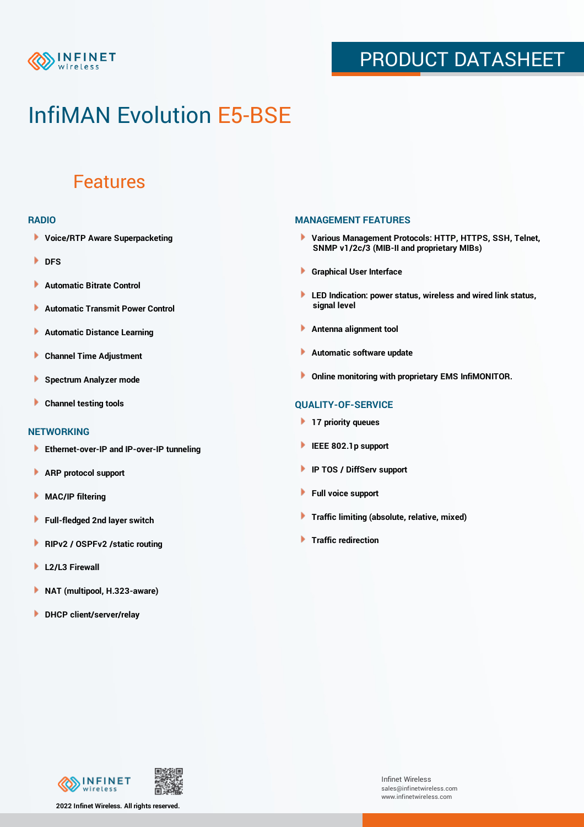

## PRODUCT DATASHEET

## InfiMAN Evolution E5-BSE

### Features

#### **RADIO**

- **Voice/RTP Aware Superpacketing**
- **DFS**
- **Automatic Bitrate Control** Þ
- Þ **Automatic Transmit Power Control**
- Þ **Automatic Distance Learning**
- Þ **Channel Time Adjustment**
- Þ **Spectrum Analyzer mode**
- Þ **Channel testing tools**

### **NETWORKING**

- **Ethernet-over-IP and IP-over-IP tunneling**
- Þ **ARP protocol support**
- **MAC/IP filtering** Þ
- **Full-fledged 2nd layer switch**
- Þ **RIPv2 / OSPFv2 /static routing**
- ٠ **L2/L3 Firewall**
- × **NAT (multipool, H.323-aware)**
- **DHCP client/server/relay**

### **MANAGEMENT FEATURES**

- **Various Management Protocols: HTTP, HTTPS, SSH, Telnet, SNMP v1/2c/3 (MIB-II and proprietary MIBs)**
- **Graphical User Interface**
- **LED Indication: power status, wireless and wired link status, signal level**
- **Antenna alignment tool**
- ٠ **Automatic software update**
- **Online monitoring with proprietary EMS InfiMONITOR.**

### **QUALITY-OF-SERVICE**

- **17 priority queues**
- **IEEE 802.1p support**
- **IP TOS / DiffServ support**
- ٠ **Full voice support**
- **Traffic limiting (absolute, relative, mixed)** ٠
- **Traffic redirection**